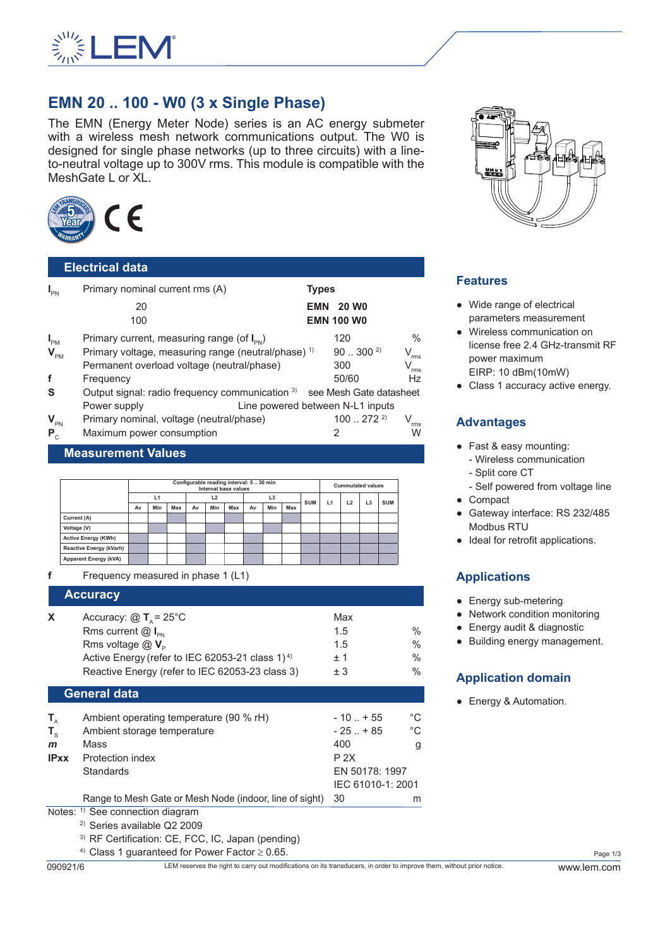

# **EMN 20 .. 100 - W0 (3 x Single Phase)**

The EMN (Energy Meter Node) series is an AC energy submeter with a wireless mesh network communications output. The W0 is designed for single phase networks (up to three circuits) with a lineto-neutral voltage up to 300V rms. This module is compatible with the MeshGate L or XL.



## **Electrical data**

| $I_{PN}$        | Primary nominal current rms (A)                                         | <b>Types</b> |                   |                             |
|-----------------|-------------------------------------------------------------------------|--------------|-------------------|-----------------------------|
|                 | 20                                                                      | EMN          | <b>20 WO</b>      |                             |
|                 | 100                                                                     |              | <b>EMN 100 W0</b> |                             |
| $I_{\text{PM}}$ | Primary current, measuring range (of $I_{\text{PN}}$ )                  |              | 120               | $\%$                        |
| $V_{\text{PM}}$ | Primary voltage, measuring range (neutral/phase) <sup>1)</sup>          |              | $90300^{2}$       | V<br>rms                    |
|                 | Permanent overload voltage (neutral/phase)                              |              | 300               | $\mathsf{V}_{\mathsf{rms}}$ |
| f               | Frequency                                                               |              | 50/60             | <b>Hz</b>                   |
| <b>S</b>        | Output signal: radio frequency communication 3) see Mesh Gate datasheet |              |                   |                             |
|                 | Line powered between N-L1 inputs<br>Power supply                        |              |                   |                             |
| $V_{\text{PN}}$ | Primary nominal, voltage (neutral/phase)                                |              | 1002722           | rms                         |
| $P_{c}$         | Maximum power consumption                                               |              | 2                 | W                           |

#### **Measurement Values**

|                                |    | Configurable reading interval: 5  30 min<br>Internal base values |                |    |                |     |    |            | <b>Cummulated values</b> |    |                |            |  |  |
|--------------------------------|----|------------------------------------------------------------------|----------------|----|----------------|-----|----|------------|--------------------------|----|----------------|------------|--|--|
|                                | L1 |                                                                  | L <sub>2</sub> |    | L <sub>3</sub> |     |    | <b>SUM</b> | L1                       | L2 | L <sub>3</sub> | <b>SUM</b> |  |  |
|                                | Av | Min                                                              | Max            | Av | Min            | Max | Av | Min        | Max                      |    |                |            |  |  |
| Current (A)                    |    |                                                                  |                |    |                |     |    |            |                          |    |                |            |  |  |
| Voltage (V)                    |    |                                                                  |                |    |                |     |    |            |                          |    |                |            |  |  |
| <b>Active Energy (KWh)</b>     |    |                                                                  |                |    |                |     |    |            |                          |    |                |            |  |  |
| <b>Reactive Energy (kVarh)</b> |    |                                                                  |                |    |                |     |    |            |                          |    |                |            |  |  |
| <b>Apparent Energy (kVA)</b>   |    |                                                                  |                |    |                |     |    |            |                          |    |                |            |  |  |

**f** Frequency measured in phase 1 (L1)

#### **Accuracy**

| x | Accuracy: $\textcircled{2}$ T <sub>a</sub> = 25 <sup>°</sup> C | Max  |               |
|---|----------------------------------------------------------------|------|---------------|
|   | Rms current $@I_{\infty}$                                      | 1.5  | $\frac{0}{0}$ |
|   | Rms voltage $@V_{\circ}$                                       | 1.5  | $\frac{0}{0}$ |
|   | Active Energy (refer to IEC 62053-21 class 1) <sup>4)</sup>    | $+1$ | $\frac{0}{0}$ |
|   | Reactive Energy (refer to IEC 62053-23 class 3)                | $+3$ | $\frac{0}{0}$ |
|   |                                                                |      |               |

#### **General data**

| $T_{\scriptscriptstyle\wedge}$ | Ambient operating temperature (90 % rH)                 | $-10$ $+55$       | °C |  |
|--------------------------------|---------------------------------------------------------|-------------------|----|--|
| $T_{\rm c}$                    | Ambient storage temperature                             | $-25$ $+85$       | °C |  |
| $\mathbf{m}$                   | Mass                                                    | 400               | g  |  |
| <b>IPxx</b>                    | Protection index                                        | P 2X              |    |  |
|                                | <b>Standards</b>                                        | EN 50178: 1997    |    |  |
|                                |                                                         | IEC 61010-1: 2001 |    |  |
|                                | Range to Mesh Gate or Mesh Node (indoor, line of sight) | -30               | m  |  |
|                                |                                                         |                   |    |  |

Notes: <sup>1)</sup> See connection diagram

- 2) Series available Q2 2009
- 3) RF Certification: CE, FCC, IC, Japan (pending)

<sup>4)</sup> Class 1 quaranteed for Power Factor  $\geq$  0.65.

090921/6 LEM reserves the right to carry out modifications on its transducers, in order to improve them, without prior notice. www.lem.com



#### **Features**

- Wide range of electrical parameters measurement
- Wireless communication on license free 2.4 GHz-transmit RF power maximum EIRP: 10 dBm(10mW)
- Class 1 accuracy active energy.

## **Advantages**

- Fast & easy mounting:
	- Wireless communication
	- Split core CT
	- Self powered from voltage line
- Compact
- Gateway interface: RS 232/485 Modbus RTU
- Ideal for retrofit applications.

# **Applications**

- Energy sub-metering
- Network condition monitoring
- Energy audit & diagnostic
- Building energy management.

#### **Application domain**

● Energy & Automation.

Page 1/3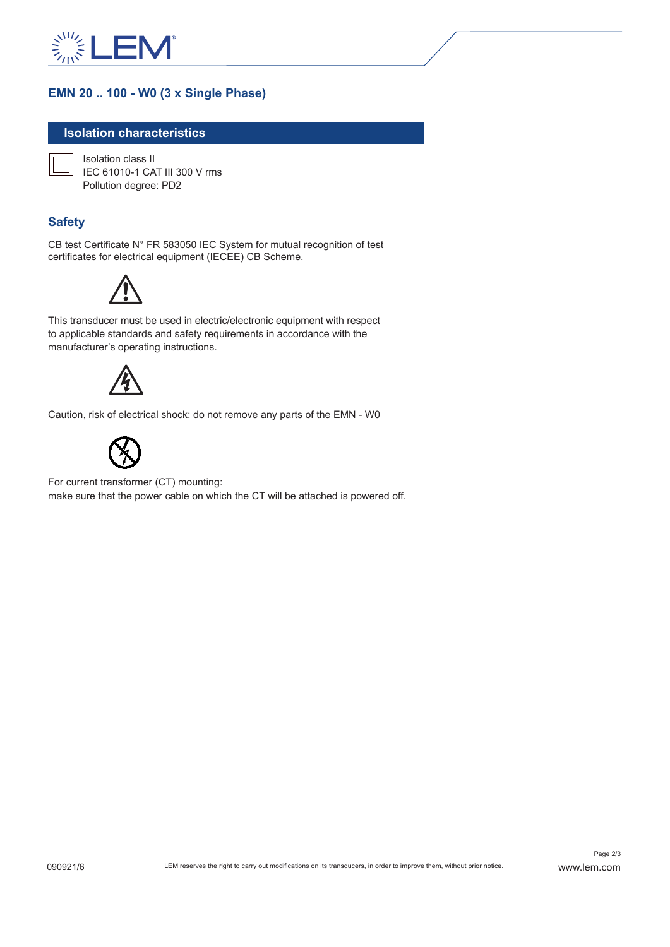

# **EMN 20 .. 100 - W0 (3 x Single Phase)**

#### **Isolation characteristics**

Isolation class II IEC 61010-1 CAT III 300 V rms Pollution degree: PD2

### **Safety**

CB test Certificate N° FR 583050 IEC System for mutual recognition of test certificates for electrical equipment (IECEE) CB Scheme.



This transducer must be used in electric/electronic equipment with respect to applicable standards and safety requirements in accordance with the manufacturer's operating instructions.



Caution, risk of electrical shock: do not remove any parts of the EMN - W0



For current transformer (CT) mounting: make sure that the power cable on which the CT will be attached is powered off.

Page 2/3